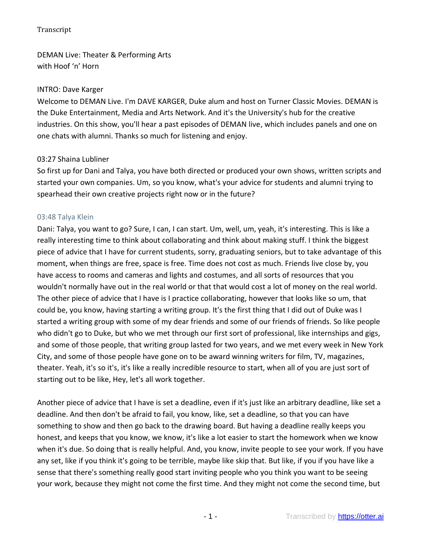DEMAN Live: Theater & Performing Arts with Hoof 'n' Horn

#### INTRO: Dave Karger

Welcome to DEMAN Live. I'm DAVE KARGER, Duke alum and host on Turner Classic Movies. DEMAN is the Duke Entertainment, Media and Arts Network. And it's the University's hub for the creative industries. On this show, you'll hear a past episodes of DEMAN live, which includes panels and one on one chats with alumni. Thanks so much for listening and enjoy.

#### 03:27 Shaina Lubliner

So first up for Dani and Talya, you have both directed or produced your own shows, written scripts and started your own companies. Um, so you know, what's your advice for students and alumni trying to spearhead their own creative projects right now or in the future?

#### 03:48 Talya Klein

Dani: Talya, you want to go? Sure, I can, I can start. Um, well, um, yeah, it's interesting. This is like a really interesting time to think about collaborating and think about making stuff. I think the biggest piece of advice that I have for current students, sorry, graduating seniors, but to take advantage of this moment, when things are free, space is free. Time does not cost as much. Friends live close by, you have access to rooms and cameras and lights and costumes, and all sorts of resources that you wouldn't normally have out in the real world or that that would cost a lot of money on the real world. The other piece of advice that I have is I practice collaborating, however that looks like so um, that could be, you know, having starting a writing group. It's the first thing that I did out of Duke was I started a writing group with some of my dear friends and some of our friends of friends. So like people who didn't go to Duke, but who we met through our first sort of professional, like internships and gigs, and some of those people, that writing group lasted for two years, and we met every week in New York City, and some of those people have gone on to be award winning writers for film, TV, magazines, theater. Yeah, it's so it's, it's like a really incredible resource to start, when all of you are just sort of starting out to be like, Hey, let's all work together.

Another piece of advice that I have is set a deadline, even if it's just like an arbitrary deadline, like set a deadline. And then don't be afraid to fail, you know, like, set a deadline, so that you can have something to show and then go back to the drawing board. But having a deadline really keeps you honest, and keeps that you know, we know, it's like a lot easier to start the homework when we know when it's due. So doing that is really helpful. And, you know, invite people to see your work. If you have any set, like if you think it's going to be terrible, maybe like skip that. But like, if you if you have like a sense that there's something really good start inviting people who you think you want to be seeing your work, because they might not come the first time. And they might not come the second time, but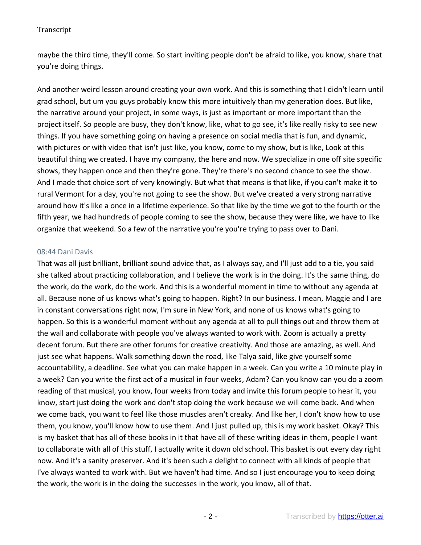maybe the third time, they'll come. So start inviting people don't be afraid to like, you know, share that you're doing things.

And another weird lesson around creating your own work. And this is something that I didn't learn until grad school, but um you guys probably know this more intuitively than my generation does. But like, the narrative around your project, in some ways, is just as important or more important than the project itself. So people are busy, they don't know, like, what to go see, it's like really risky to see new things. If you have something going on having a presence on social media that is fun, and dynamic, with pictures or with video that isn't just like, you know, come to my show, but is like, Look at this beautiful thing we created. I have my company, the here and now. We specialize in one off site specific shows, they happen once and then they're gone. They're there's no second chance to see the show. And I made that choice sort of very knowingly. But what that means is that like, if you can't make it to rural Vermont for a day, you're not going to see the show. But we've created a very strong narrative around how it's like a once in a lifetime experience. So that like by the time we got to the fourth or the fifth year, we had hundreds of people coming to see the show, because they were like, we have to like organize that weekend. So a few of the narrative you're you're trying to pass over to Dani.

#### 08:44 Dani Davis

That was all just brilliant, brilliant sound advice that, as I always say, and I'll just add to a tie, you said she talked about practicing collaboration, and I believe the work is in the doing. It's the same thing, do the work, do the work, do the work. And this is a wonderful moment in time to without any agenda at all. Because none of us knows what's going to happen. Right? In our business. I mean, Maggie and I are in constant conversations right now, I'm sure in New York, and none of us knows what's going to happen. So this is a wonderful moment without any agenda at all to pull things out and throw them at the wall and collaborate with people you've always wanted to work with. Zoom is actually a pretty decent forum. But there are other forums for creative creativity. And those are amazing, as well. And just see what happens. Walk something down the road, like Talya said, like give yourself some accountability, a deadline. See what you can make happen in a week. Can you write a 10 minute play in a week? Can you write the first act of a musical in four weeks, Adam? Can you know can you do a zoom reading of that musical, you know, four weeks from today and invite this forum people to hear it, you know, start just doing the work and don't stop doing the work because we will come back. And when we come back, you want to feel like those muscles aren't creaky. And like her, I don't know how to use them, you know, you'll know how to use them. And I just pulled up, this is my work basket. Okay? This is my basket that has all of these books in it that have all of these writing ideas in them, people I want to collaborate with all of this stuff, I actually write it down old school. This basket is out every day right now. And it's a sanity preserver. And it's been such a delight to connect with all kinds of people that I've always wanted to work with. But we haven't had time. And so I just encourage you to keep doing the work, the work is in the doing the successes in the work, you know, all of that.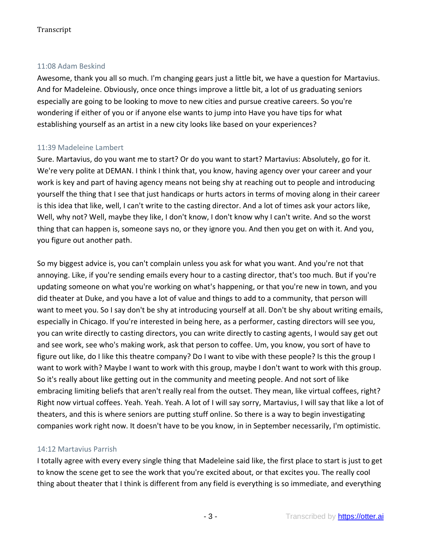### 11:08 Adam Beskind

Awesome, thank you all so much. I'm changing gears just a little bit, we have a question for Martavius. And for Madeleine. Obviously, once once things improve a little bit, a lot of us graduating seniors especially are going to be looking to move to new cities and pursue creative careers. So you're wondering if either of you or if anyone else wants to jump into Have you have tips for what establishing yourself as an artist in a new city looks like based on your experiences?

## 11:39 Madeleine Lambert

Sure. Martavius, do you want me to start? Or do you want to start? Martavius: Absolutely, go for it. We're very polite at DEMAN. I think I think that, you know, having agency over your career and your work is key and part of having agency means not being shy at reaching out to people and introducing yourself the thing that I see that just handicaps or hurts actors in terms of moving along in their career is this idea that like, well, I can't write to the casting director. And a lot of times ask your actors like, Well, why not? Well, maybe they like, I don't know, I don't know why I can't write. And so the worst thing that can happen is, someone says no, or they ignore you. And then you get on with it. And you, you figure out another path.

So my biggest advice is, you can't complain unless you ask for what you want. And you're not that annoying. Like, if you're sending emails every hour to a casting director, that's too much. But if you're updating someone on what you're working on what's happening, or that you're new in town, and you did theater at Duke, and you have a lot of value and things to add to a community, that person will want to meet you. So I say don't be shy at introducing yourself at all. Don't be shy about writing emails, especially in Chicago. If you're interested in being here, as a performer, casting directors will see you, you can write directly to casting directors, you can write directly to casting agents, I would say get out and see work, see who's making work, ask that person to coffee. Um, you know, you sort of have to figure out like, do I like this theatre company? Do I want to vibe with these people? Is this the group I want to work with? Maybe I want to work with this group, maybe I don't want to work with this group. So it's really about like getting out in the community and meeting people. And not sort of like embracing limiting beliefs that aren't really real from the outset. They mean, like virtual coffees, right? Right now virtual coffees. Yeah. Yeah. Yeah. A lot of I will say sorry, Martavius, I will say that like a lot of theaters, and this is where seniors are putting stuff online. So there is a way to begin investigating companies work right now. It doesn't have to be you know, in in September necessarily, I'm optimistic.

## 14:12 Martavius Parrish

I totally agree with every every single thing that Madeleine said like, the first place to start is just to get to know the scene get to see the work that you're excited about, or that excites you. The really cool thing about theater that I think is different from any field is everything is so immediate, and everything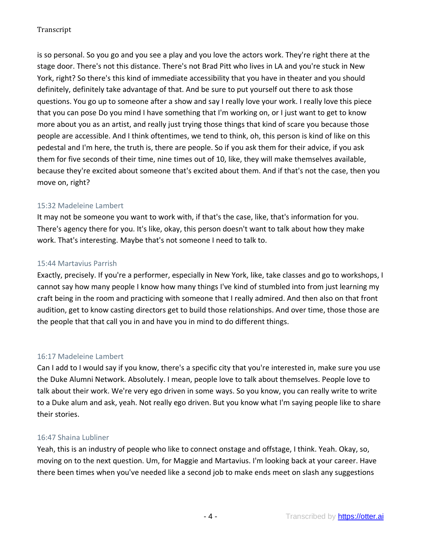is so personal. So you go and you see a play and you love the actors work. They're right there at the stage door. There's not this distance. There's not Brad Pitt who lives in LA and you're stuck in New York, right? So there's this kind of immediate accessibility that you have in theater and you should definitely, definitely take advantage of that. And be sure to put yourself out there to ask those questions. You go up to someone after a show and say I really love your work. I really love this piece that you can pose Do you mind I have something that I'm working on, or I just want to get to know more about you as an artist, and really just trying those things that kind of scare you because those people are accessible. And I think oftentimes, we tend to think, oh, this person is kind of like on this pedestal and I'm here, the truth is, there are people. So if you ask them for their advice, if you ask them for five seconds of their time, nine times out of 10, like, they will make themselves available, because they're excited about someone that's excited about them. And if that's not the case, then you move on, right?

### 15:32 Madeleine Lambert

It may not be someone you want to work with, if that's the case, like, that's information for you. There's agency there for you. It's like, okay, this person doesn't want to talk about how they make work. That's interesting. Maybe that's not someone I need to talk to.

#### 15:44 Martavius Parrish

Exactly, precisely. If you're a performer, especially in New York, like, take classes and go to workshops, I cannot say how many people I know how many things I've kind of stumbled into from just learning my craft being in the room and practicing with someone that I really admired. And then also on that front audition, get to know casting directors get to build those relationships. And over time, those those are the people that that call you in and have you in mind to do different things.

#### 16:17 Madeleine Lambert

Can I add to I would say if you know, there's a specific city that you're interested in, make sure you use the Duke Alumni Network. Absolutely. I mean, people love to talk about themselves. People love to talk about their work. We're very ego driven in some ways. So you know, you can really write to write to a Duke alum and ask, yeah. Not really ego driven. But you know what I'm saying people like to share their stories.

#### 16:47 Shaina Lubliner

Yeah, this is an industry of people who like to connect onstage and offstage, I think. Yeah. Okay, so, moving on to the next question. Um, for Maggie and Martavius. I'm looking back at your career. Have there been times when you've needed like a second job to make ends meet on slash any suggestions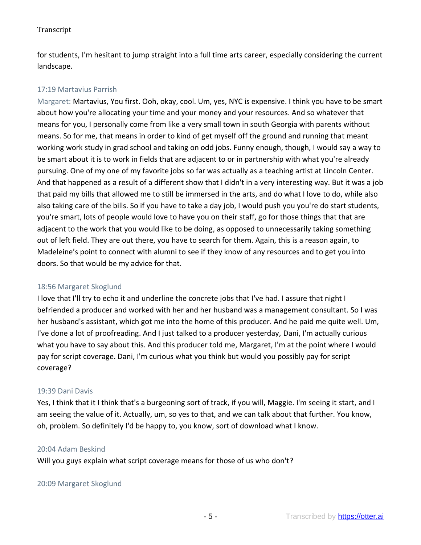for students, I'm hesitant to jump straight into a full time arts career, especially considering the current landscape.

### 17:19 Martavius Parrish

Margaret: Martavius, You first. Ooh, okay, cool. Um, yes, NYC is expensive. I think you have to be smart about how you're allocating your time and your money and your resources. And so whatever that means for you, I personally come from like a very small town in south Georgia with parents without means. So for me, that means in order to kind of get myself off the ground and running that meant working work study in grad school and taking on odd jobs. Funny enough, though, I would say a way to be smart about it is to work in fields that are adjacent to or in partnership with what you're already pursuing. One of my one of my favorite jobs so far was actually as a teaching artist at Lincoln Center. And that happened as a result of a different show that I didn't in a very interesting way. But it was a job that paid my bills that allowed me to still be immersed in the arts, and do what I love to do, while also also taking care of the bills. So if you have to take a day job, I would push you you're do start students, you're smart, lots of people would love to have you on their staff, go for those things that that are adjacent to the work that you would like to be doing, as opposed to unnecessarily taking something out of left field. They are out there, you have to search for them. Again, this is a reason again, to Madeleine's point to connect with alumni to see if they know of any resources and to get you into doors. So that would be my advice for that.

#### 18:56 Margaret Skoglund

I love that I'll try to echo it and underline the concrete jobs that I've had. I assure that night I befriended a producer and worked with her and her husband was a management consultant. So I was her husband's assistant, which got me into the home of this producer. And he paid me quite well. Um, I've done a lot of proofreading. And I just talked to a producer yesterday, Dani, I'm actually curious what you have to say about this. And this producer told me, Margaret, I'm at the point where I would pay for script coverage. Dani, I'm curious what you think but would you possibly pay for script coverage?

#### 19:39 Dani Davis

Yes, I think that it I think that's a burgeoning sort of track, if you will, Maggie. I'm seeing it start, and I am seeing the value of it. Actually, um, so yes to that, and we can talk about that further. You know, oh, problem. So definitely I'd be happy to, you know, sort of download what I know.

#### 20:04 Adam Beskind

Will you guys explain what script coverage means for those of us who don't?

# 20:09 Margaret Skoglund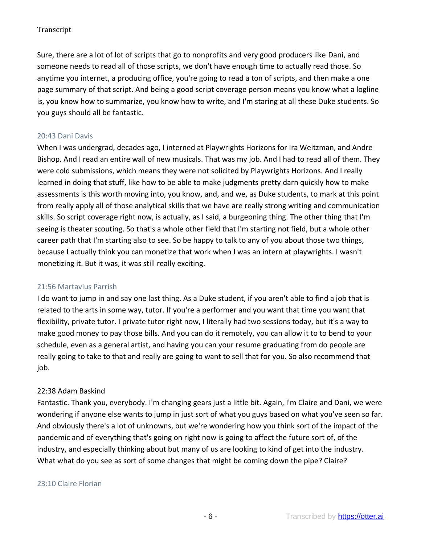Sure, there are a lot of lot of scripts that go to nonprofits and very good producers like Dani, and someone needs to read all of those scripts, we don't have enough time to actually read those. So anytime you internet, a producing office, you're going to read a ton of scripts, and then make a one page summary of that script. And being a good script coverage person means you know what a logline is, you know how to summarize, you know how to write, and I'm staring at all these Duke students. So you guys should all be fantastic.

### 20:43 Dani Davis

When I was undergrad, decades ago, I interned at Playwrights Horizons for Ira Weitzman, and Andre Bishop. And I read an entire wall of new musicals. That was my job. And I had to read all of them. They were cold submissions, which means they were not solicited by Playwrights Horizons. And I really learned in doing that stuff, like how to be able to make judgments pretty darn quickly how to make assessments is this worth moving into, you know, and, and we, as Duke students, to mark at this point from really apply all of those analytical skills that we have are really strong writing and communication skills. So script coverage right now, is actually, as I said, a burgeoning thing. The other thing that I'm seeing is theater scouting. So that's a whole other field that I'm starting not field, but a whole other career path that I'm starting also to see. So be happy to talk to any of you about those two things, because I actually think you can monetize that work when I was an intern at playwrights. I wasn't monetizing it. But it was, it was still really exciting.

#### 21:56 Martavius Parrish

I do want to jump in and say one last thing. As a Duke student, if you aren't able to find a job that is related to the arts in some way, tutor. If you're a performer and you want that time you want that flexibility, private tutor. I private tutor right now, I literally had two sessions today, but it's a way to make good money to pay those bills. And you can do it remotely, you can allow it to to bend to your schedule, even as a general artist, and having you can your resume graduating from do people are really going to take to that and really are going to want to sell that for you. So also recommend that job.

## 22:38 Adam Baskind

Fantastic. Thank you, everybody. I'm changing gears just a little bit. Again, I'm Claire and Dani, we were wondering if anyone else wants to jump in just sort of what you guys based on what you've seen so far. And obviously there's a lot of unknowns, but we're wondering how you think sort of the impact of the pandemic and of everything that's going on right now is going to affect the future sort of, of the industry, and especially thinking about but many of us are looking to kind of get into the industry. What what do you see as sort of some changes that might be coming down the pipe? Claire?

## 23:10 Claire Florian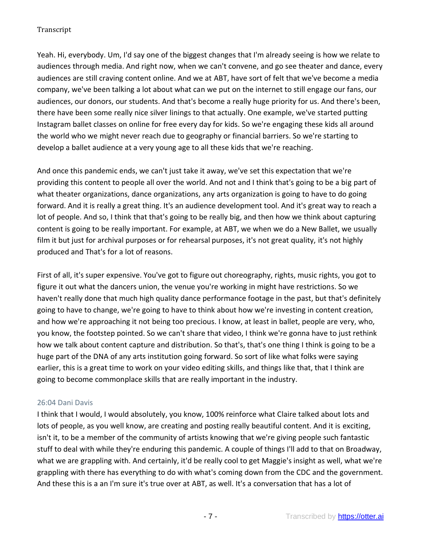Yeah. Hi, everybody. Um, I'd say one of the biggest changes that I'm already seeing is how we relate to audiences through media. And right now, when we can't convene, and go see theater and dance, every audiences are still craving content online. And we at ABT, have sort of felt that we've become a media company, we've been talking a lot about what can we put on the internet to still engage our fans, our audiences, our donors, our students. And that's become a really huge priority for us. And there's been, there have been some really nice silver linings to that actually. One example, we've started putting Instagram ballet classes on online for free every day for kids. So we're engaging these kids all around the world who we might never reach due to geography or financial barriers. So we're starting to develop a ballet audience at a very young age to all these kids that we're reaching.

And once this pandemic ends, we can't just take it away, we've set this expectation that we're providing this content to people all over the world. And not and I think that's going to be a big part of what theater organizations, dance organizations, any arts organization is going to have to do going forward. And it is really a great thing. It's an audience development tool. And it's great way to reach a lot of people. And so, I think that that's going to be really big, and then how we think about capturing content is going to be really important. For example, at ABT, we when we do a New Ballet, we usually film it but just for archival purposes or for rehearsal purposes, it's not great quality, it's not highly produced and That's for a lot of reasons.

First of all, it's super expensive. You've got to figure out choreography, rights, music rights, you got to figure it out what the dancers union, the venue you're working in might have restrictions. So we haven't really done that much high quality dance performance footage in the past, but that's definitely going to have to change, we're going to have to think about how we're investing in content creation, and how we're approaching it not being too precious. I know, at least in ballet, people are very, who, you know, the footstep pointed. So we can't share that video, I think we're gonna have to just rethink how we talk about content capture and distribution. So that's, that's one thing I think is going to be a huge part of the DNA of any arts institution going forward. So sort of like what folks were saying earlier, this is a great time to work on your video editing skills, and things like that, that I think are going to become commonplace skills that are really important in the industry.

#### 26:04 Dani Davis

I think that I would, I would absolutely, you know, 100% reinforce what Claire talked about lots and lots of people, as you well know, are creating and posting really beautiful content. And it is exciting, isn't it, to be a member of the community of artists knowing that we're giving people such fantastic stuff to deal with while they're enduring this pandemic. A couple of things I'll add to that on Broadway, what we are grappling with. And certainly, it'd be really cool to get Maggie's insight as well, what we're grappling with there has everything to do with what's coming down from the CDC and the government. And these this is a an I'm sure it's true over at ABT, as well. It's a conversation that has a lot of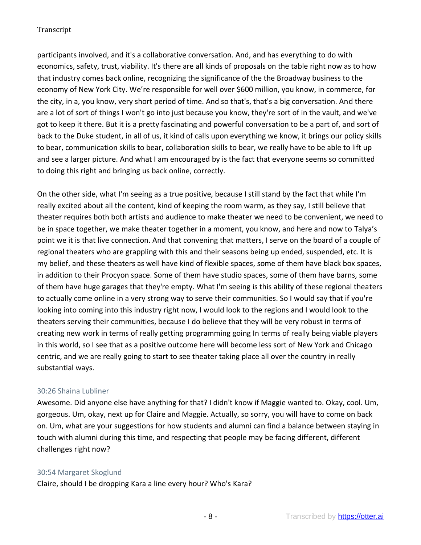participants involved, and it's a collaborative conversation. And, and has everything to do with economics, safety, trust, viability. It's there are all kinds of proposals on the table right now as to how that industry comes back online, recognizing the significance of the the Broadway business to the economy of New York City. We're responsible for well over \$600 million, you know, in commerce, for the city, in a, you know, very short period of time. And so that's, that's a big conversation. And there are a lot of sort of things I won't go into just because you know, they're sort of in the vault, and we've got to keep it there. But it is a pretty fascinating and powerful conversation to be a part of, and sort of back to the Duke student, in all of us, it kind of calls upon everything we know, it brings our policy skills to bear, communication skills to bear, collaboration skills to bear, we really have to be able to lift up and see a larger picture. And what I am encouraged by is the fact that everyone seems so committed to doing this right and bringing us back online, correctly.

On the other side, what I'm seeing as a true positive, because I still stand by the fact that while I'm really excited about all the content, kind of keeping the room warm, as they say, I still believe that theater requires both both artists and audience to make theater we need to be convenient, we need to be in space together, we make theater together in a moment, you know, and here and now to Talya's point we it is that live connection. And that convening that matters, I serve on the board of a couple of regional theaters who are grappling with this and their seasons being up ended, suspended, etc. It is my belief, and these theaters as well have kind of flexible spaces, some of them have black box spaces, in addition to their Procyon space. Some of them have studio spaces, some of them have barns, some of them have huge garages that they're empty. What I'm seeing is this ability of these regional theaters to actually come online in a very strong way to serve their communities. So I would say that if you're looking into coming into this industry right now, I would look to the regions and I would look to the theaters serving their communities, because I do believe that they will be very robust in terms of creating new work in terms of really getting programming going In terms of really being viable players in this world, so I see that as a positive outcome here will become less sort of New York and Chicago centric, and we are really going to start to see theater taking place all over the country in really substantial ways.

## 30:26 Shaina Lubliner

Awesome. Did anyone else have anything for that? I didn't know if Maggie wanted to. Okay, cool. Um, gorgeous. Um, okay, next up for Claire and Maggie. Actually, so sorry, you will have to come on back on. Um, what are your suggestions for how students and alumni can find a balance between staying in touch with alumni during this time, and respecting that people may be facing different, different challenges right now?

#### 30:54 Margaret Skoglund

Claire, should I be dropping Kara a line every hour? Who's Kara?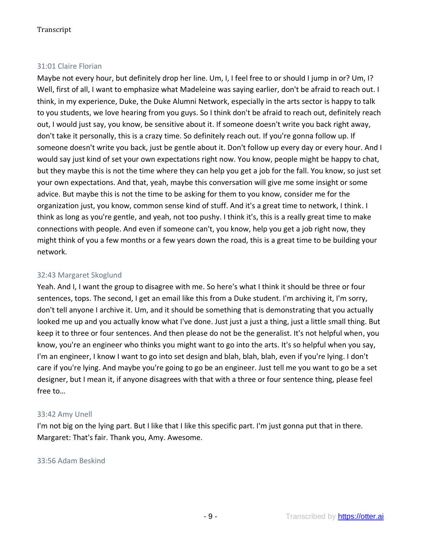### 31:01 Claire Florian

Maybe not every hour, but definitely drop her line. Um, I, I feel free to or should I jump in or? Um, I? Well, first of all, I want to emphasize what Madeleine was saying earlier, don't be afraid to reach out. I think, in my experience, Duke, the Duke Alumni Network, especially in the arts sector is happy to talk to you students, we love hearing from you guys. So I think don't be afraid to reach out, definitely reach out, I would just say, you know, be sensitive about it. If someone doesn't write you back right away, don't take it personally, this is a crazy time. So definitely reach out. If you're gonna follow up. If someone doesn't write you back, just be gentle about it. Don't follow up every day or every hour. And I would say just kind of set your own expectations right now. You know, people might be happy to chat, but they maybe this is not the time where they can help you get a job for the fall. You know, so just set your own expectations. And that, yeah, maybe this conversation will give me some insight or some advice. But maybe this is not the time to be asking for them to you know, consider me for the organization just, you know, common sense kind of stuff. And it's a great time to network, I think. I think as long as you're gentle, and yeah, not too pushy. I think it's, this is a really great time to make connections with people. And even if someone can't, you know, help you get a job right now, they might think of you a few months or a few years down the road, this is a great time to be building your network.

## 32:43 Margaret Skoglund

Yeah. And I, I want the group to disagree with me. So here's what I think it should be three or four sentences, tops. The second, I get an email like this from a Duke student. I'm archiving it, I'm sorry, don't tell anyone I archive it. Um, and it should be something that is demonstrating that you actually looked me up and you actually know what I've done. Just just a just a thing, just a little small thing. But keep it to three or four sentences. And then please do not be the generalist. It's not helpful when, you know, you're an engineer who thinks you might want to go into the arts. It's so helpful when you say, I'm an engineer, I know I want to go into set design and blah, blah, blah, even if you're lying. I don't care if you're lying. And maybe you're going to go be an engineer. Just tell me you want to go be a set designer, but I mean it, if anyone disagrees with that with a three or four sentence thing, please feel free to…

#### 33:42 Amy Unell

I'm not big on the lying part. But I like that I like this specific part. I'm just gonna put that in there. Margaret: That's fair. Thank you, Amy. Awesome.

#### 33:56 Adam Beskind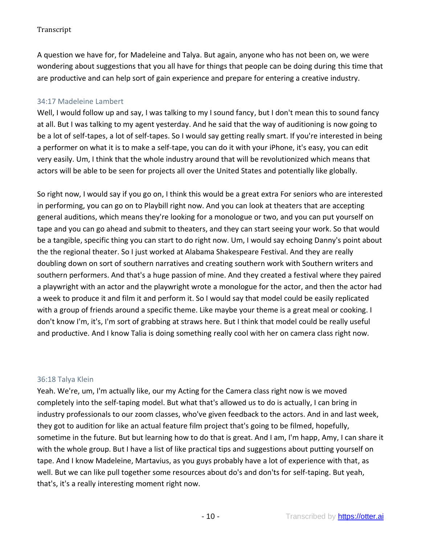A question we have for, for Madeleine and Talya. But again, anyone who has not been on, we were wondering about suggestions that you all have for things that people can be doing during this time that are productive and can help sort of gain experience and prepare for entering a creative industry.

## 34:17 Madeleine Lambert

Well, I would follow up and say, I was talking to my I sound fancy, but I don't mean this to sound fancy at all. But I was talking to my agent yesterday. And he said that the way of auditioning is now going to be a lot of self-tapes, a lot of self-tapes. So I would say getting really smart. If you're interested in being a performer on what it is to make a self-tape, you can do it with your iPhone, it's easy, you can edit very easily. Um, I think that the whole industry around that will be revolutionized which means that actors will be able to be seen for projects all over the United States and potentially like globally.

So right now, I would say if you go on, I think this would be a great extra For seniors who are interested in performing, you can go on to Playbill right now. And you can look at theaters that are accepting general auditions, which means they're looking for a monologue or two, and you can put yourself on tape and you can go ahead and submit to theaters, and they can start seeing your work. So that would be a tangible, specific thing you can start to do right now. Um, I would say echoing Danny's point about the the regional theater. So I just worked at Alabama Shakespeare Festival. And they are really doubling down on sort of southern narratives and creating southern work with Southern writers and southern performers. And that's a huge passion of mine. And they created a festival where they paired a playwright with an actor and the playwright wrote a monologue for the actor, and then the actor had a week to produce it and film it and perform it. So I would say that model could be easily replicated with a group of friends around a specific theme. Like maybe your theme is a great meal or cooking. I don't know I'm, it's, I'm sort of grabbing at straws here. But I think that model could be really useful and productive. And I know Talia is doing something really cool with her on camera class right now.

#### 36:18 Talya Klein

Yeah. We're, um, I'm actually like, our my Acting for the Camera class right now is we moved completely into the self-taping model. But what that's allowed us to do is actually, I can bring in industry professionals to our zoom classes, who've given feedback to the actors. And in and last week, they got to audition for like an actual feature film project that's going to be filmed, hopefully, sometime in the future. But but learning how to do that is great. And I am, I'm happ, Amy, I can share it with the whole group. But I have a list of like practical tips and suggestions about putting yourself on tape. And I know Madeleine, Martavius, as you guys probably have a lot of experience with that, as well. But we can like pull together some resources about do's and don'ts for self-taping. But yeah, that's, it's a really interesting moment right now.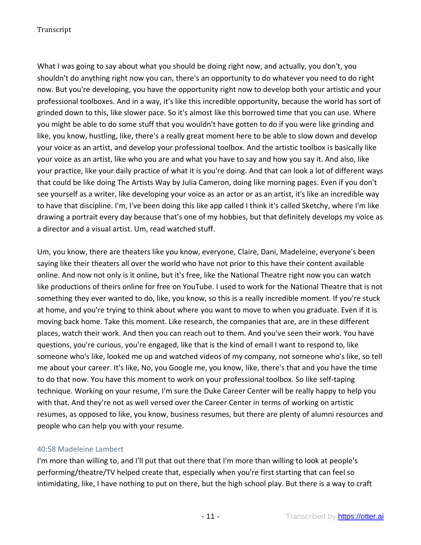What I was going to say about what you should be doing right now, and actually, you don't, you shouldn't do anything right now you can, there's an opportunity to do whatever you need to do right now. But you're developing, you have the opportunity right now to develop both your artistic and your professional toolboxes. And in a way, it's like this incredible opportunity, because the world has sort of grinded down to this, like slower pace. So it's almost like this borrowed time that you can use. Where you might be able to do some stuff that you wouldn't have gotten to do if you were like grinding and like, you know, hustling, like, there's a really great moment here to be able to slow down and develop your voice as an artist, and develop your professional toolbox. And the artistic toolbox is basically like your voice as an artist, like who you are and what you have to say and how you say it. And also, like your practice, like your daily practice of what it is you're doing. And that can look a lot of different ways that could be like doing The Artists Way by Julia Cameron, doing like morning pages. Even if you don't see yourself as a writer, like developing your voice as an actor or as an artist, it's like an incredible way to have that discipline. I'm, I've been doing this like app called I think it's called Sketchy, where I'm like drawing a portrait every day because that's one of my hobbies, but that definitely develops my voice as a director and a visual artist. Um, read watched stuff.

Um, you know, there are theaters like you know, everyone, Claire, Dani, Madeleine, everyone's been saying like their theaters all over the world who have not prior to this have their content available online. And now not only is it online, but it's free, like the National Theatre right now you can watch like productions of theirs online for free on YouTube. I used to work for the National Theatre that is not something they ever wanted to do, like, you know, so this is a really incredible moment. If you're stuck at home, and you're trying to think about where you want to move to when you graduate. Even if it is moving back home. Take this moment. Like research, the companies that are, are in these different places, watch their work. And then you can reach out to them. And you've seen their work. You have questions, you're curious, you're engaged, like that is the kind of email I want to respond to, like someone who's like, looked me up and watched videos of my company, not someone who's like, so tell me about your career. It's like, No, you Google me, you know, like, there's that and you have the time to do that now. You have this moment to work on your professional toolbox. So like self-taping technique. Working on your resume, I'm sure the Duke Career Center will be really happy to help you with that. And they're not as well versed over the Career Center in terms of working on artistic resumes, as opposed to like, you know, business resumes, but there are plenty of alumni resources and people who can help you with your resume.

#### 40:58 Madeleine Lambert

I'm more than willing to, and I'll put that out there that I'm more than willing to look at people's performing/theatre/TV helped create that, especially when you're first starting that can feel so intimidating, like, I have nothing to put on there, but the high school play. But there is a way to craft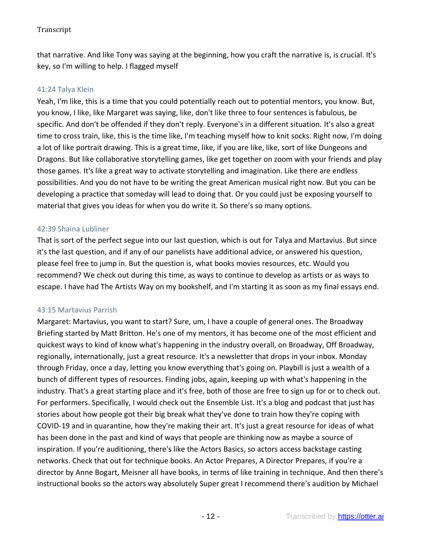that narrative. And like Tony was saying at the beginning, how you craft the narrative is, is crucial. It's key, so I'm willing to help. I flagged myself

#### 41:24 Talya Klein

Yeah, I'm like, this is a time that you could potentially reach out to potential mentors, you know. But, you know, I like, like Margaret was saying, like, don't like three to four sentences is fabulous, be specific. And don't be offended if they don't reply. Everyone's in a different situation. It's also a great time to cross train, like, this is the time like, I'm teaching myself how to knit socks. Right now, I'm doing a lot of like portrait drawing. This is a great time, like, if you are like, like, sort of like Dungeons and Dragons. But like collaborative storytelling games, like get together on zoom with your friends and play those games. It's like a great way to activate storytelling and imagination. Like there are endless possibilities. And you do not have to be writing the great American musical right now. But you can be developing a practice that someday will lead to doing that. Or you could just be exposing yourself to material that gives you ideas for when you do write it. So there's so many options.

#### 42:39 Shaina Lubliner

That is sort of the perfect segue into our last question, which is out for Talya and Martavius. But since it's the last question, and if any of our panelists have additional advice, or answered his question, please feel free to jump in. But the question is, what books movies resources, etc. Would you recommend? We check out during this time, as ways to continue to develop as artists or as ways to escape. I have had The Artists Way on my bookshelf, and I'm starting it as soon as my final essays end.

#### 43:15 Martavius Parrish

Margaret: Martavius, you want to start? Sure, um, I have a couple of general ones. The Broadway Briefing started by Matt Britton. He's one of my mentors, it has become one of the most efficient and quickest ways to kind of know what's happening in the industry overall, on Broadway, Off Broadway, regionally, internationally, just a great resource. It's a newsletter that drops in your inbox. Monday through Friday, once a day, letting you know everything that's going on. Playbill is just a wealth of a bunch of different types of resources. Finding jobs, again, keeping up with what's happening in the industry. That's a great starting place and it's free, both of those are free to sign up for or to check out. For performers. Specifically, I would check out the Ensemble List. It's a blog and podcast that just has stories about how people got their big break what they've done to train how they're coping with COVID-19 and in quarantine, how they're making their art. It's just a great resource for ideas of what has been done in the past and kind of ways that people are thinking now as maybe a source of inspiration. If you're auditioning, there's like the Actors Basics, so actors access backstage casting networks. Check that out for technique books. An Actor Prepares, A Director Prepares, if you're a director by Anne Bogart, Meisner all have books, in terms of like training in technique. And then there's instructional books so the actors way absolutely Super great I recommend there's audition by Michael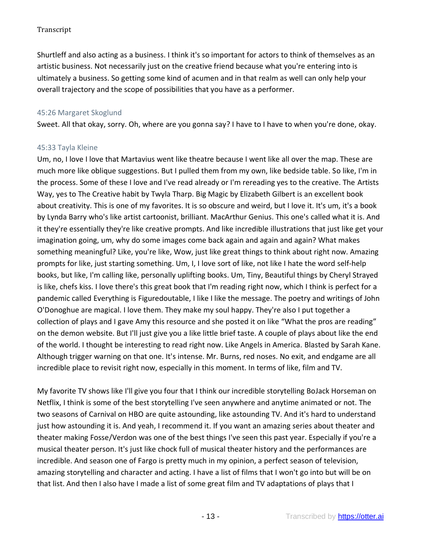Shurtleff and also acting as a business. I think it's so important for actors to think of themselves as an artistic business. Not necessarily just on the creative friend because what you're entering into is ultimately a business. So getting some kind of acumen and in that realm as well can only help your overall trajectory and the scope of possibilities that you have as a performer.

### 45:26 Margaret Skoglund

Sweet. All that okay, sorry. Oh, where are you gonna say? I have to I have to when you're done, okay.

#### 45:33 Tayla Kleine

Um, no, I love I love that Martavius went like theatre because I went like all over the map. These are much more like oblique suggestions. But I pulled them from my own, like bedside table. So like, I'm in the process. Some of these I love and I've read already or I'm rereading yes to the creative. The Artists Way, yes to The Creative habit by Twyla Tharp. Big Magic by Elizabeth Gilbert is an excellent book about creativity. This is one of my favorites. It is so obscure and weird, but I love it. It's um, it's a book by Lynda Barry who's like artist cartoonist, brilliant. MacArthur Genius. This one's called what it is. And it they're essentially they're like creative prompts. And like incredible illustrations that just like get your imagination going, um, why do some images come back again and again and again? What makes something meaningful? Like, you're like, Wow, just like great things to think about right now. Amazing prompts for like, just starting something. Um, I, I love sort of like, not like I hate the word self-help books, but like, I'm calling like, personally uplifting books. Um, Tiny, Beautiful things by Cheryl Strayed is like, chefs kiss. I love there's this great book that I'm reading right now, which I think is perfect for a pandemic called Everything is Figuredoutable, I like I like the message. The poetry and writings of John O'Donoghue are magical. I love them. They make my soul happy. They're also I put together a collection of plays and I gave Amy this resource and she posted it on like "What the pros are reading" on the demon website. But I'll just give you a like little brief taste. A couple of plays about like the end of the world. I thought be interesting to read right now. Like Angels in America. Blasted by Sarah Kane. Although trigger warning on that one. It's intense. Mr. Burns, red noses. No exit, and endgame are all incredible place to revisit right now, especially in this moment. In terms of like, film and TV.

My favorite TV shows like I'll give you four that I think our incredible storytelling BoJack Horseman on Netflix, I think is some of the best storytelling I've seen anywhere and anytime animated or not. The two seasons of Carnival on HBO are quite astounding, like astounding TV. And it's hard to understand just how astounding it is. And yeah, I recommend it. If you want an amazing series about theater and theater making Fosse/Verdon was one of the best things I've seen this past year. Especially if you're a musical theater person. It's just like chock full of musical theater history and the performances are incredible. And season one of Fargo is pretty much in my opinion, a perfect season of television, amazing storytelling and character and acting. I have a list of films that I won't go into but will be on that list. And then I also have I made a list of some great film and TV adaptations of plays that I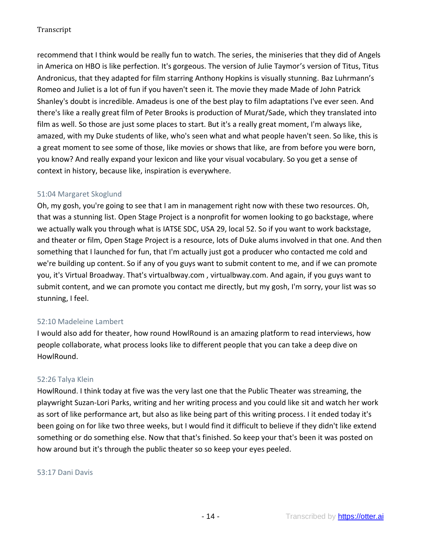recommend that I think would be really fun to watch. The series, the miniseries that they did of Angels in America on HBO is like perfection. It's gorgeous. The version of Julie Taymor's version of Titus, Titus Andronicus, that they adapted for film starring Anthony Hopkins is visually stunning. Baz Luhrmann's Romeo and Juliet is a lot of fun if you haven't seen it. The movie they made Made of John Patrick Shanley's doubt is incredible. Amadeus is one of the best play to film adaptations I've ever seen. And there's like a really great film of Peter Brooks is production of Murat/Sade, which they translated into film as well. So those are just some places to start. But it's a really great moment, I'm always like, amazed, with my Duke students of like, who's seen what and what people haven't seen. So like, this is a great moment to see some of those, like movies or shows that like, are from before you were born, you know? And really expand your lexicon and like your visual vocabulary. So you get a sense of context in history, because like, inspiration is everywhere.

### 51:04 Margaret Skoglund

Oh, my gosh, you're going to see that I am in management right now with these two resources. Oh, that was a stunning list. Open Stage Project is a nonprofit for women looking to go backstage, where we actually walk you through what is IATSE SDC, USA 29, local 52. So if you want to work backstage, and theater or film, Open Stage Project is a resource, lots of Duke alums involved in that one. And then something that I launched for fun, that I'm actually just got a producer who contacted me cold and we're building up content. So if any of you guys want to submit content to me, and if we can promote you, it's Virtual Broadway. That's virtualbway.com , virtualbway.com. And again, if you guys want to submit content, and we can promote you contact me directly, but my gosh, I'm sorry, your list was so stunning, I feel.

## 52:10 Madeleine Lambert

I would also add for theater, how round HowlRound is an amazing platform to read interviews, how people collaborate, what process looks like to different people that you can take a deep dive on HowlRound.

#### 52:26 Talya Klein

HowlRound. I think today at five was the very last one that the Public Theater was streaming, the playwright Suzan-Lori Parks, writing and her writing process and you could like sit and watch her work as sort of like performance art, but also as like being part of this writing process. I it ended today it's been going on for like two three weeks, but I would find it difficult to believe if they didn't like extend something or do something else. Now that that's finished. So keep your that's been it was posted on how around but it's through the public theater so so keep your eyes peeled.

#### 53:17 Dani Davis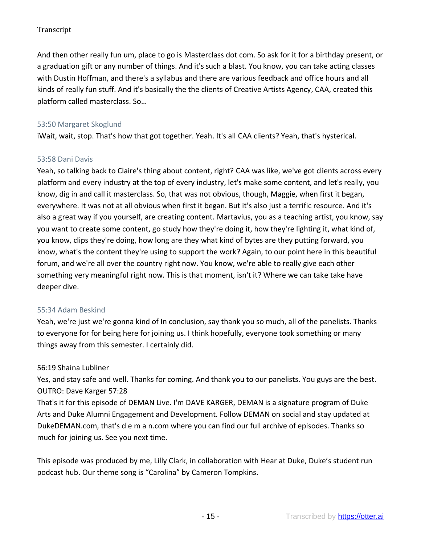And then other really fun um, place to go is Masterclass dot com. So ask for it for a birthday present, or a graduation gift or any number of things. And it's such a blast. You know, you can take acting classes with Dustin Hoffman, and there's a syllabus and there are various feedback and office hours and all kinds of really fun stuff. And it's basically the the clients of Creative Artists Agency, CAA, created this platform called masterclass. So…

## 53:50 Margaret Skoglund

iWait, wait, stop. That's how that got together. Yeah. It's all CAA clients? Yeah, that's hysterical.

### 53:58 Dani Davis

Yeah, so talking back to Claire's thing about content, right? CAA was like, we've got clients across every platform and every industry at the top of every industry, let's make some content, and let's really, you know, dig in and call it masterclass. So, that was not obvious, though, Maggie, when first it began, everywhere. It was not at all obvious when first it began. But it's also just a terrific resource. And it's also a great way if you yourself, are creating content. Martavius, you as a teaching artist, you know, say you want to create some content, go study how they're doing it, how they're lighting it, what kind of, you know, clips they're doing, how long are they what kind of bytes are they putting forward, you know, what's the content they're using to support the work? Again, to our point here in this beautiful forum, and we're all over the country right now. You know, we're able to really give each other something very meaningful right now. This is that moment, isn't it? Where we can take take have deeper dive.

## 55:34 Adam Beskind

Yeah, we're just we're gonna kind of In conclusion, say thank you so much, all of the panelists. Thanks to everyone for for being here for joining us. I think hopefully, everyone took something or many things away from this semester. I certainly did.

## 56:19 Shaina Lubliner

Yes, and stay safe and well. Thanks for coming. And thank you to our panelists. You guys are the best. OUTRO: Dave Karger 57:28

That's it for this episode of DEMAN Live. I'm DAVE KARGER, DEMAN is a signature program of Duke Arts and Duke Alumni Engagement and Development. Follow DEMAN on social and stay updated at DukeDEMAN.com, that's d e m a n.com where you can find our full archive of episodes. Thanks so much for joining us. See you next time.

This episode was produced by me, Lilly Clark, in collaboration with Hear at Duke, Duke's student run podcast hub. Our theme song is "Carolina" by Cameron Tompkins.